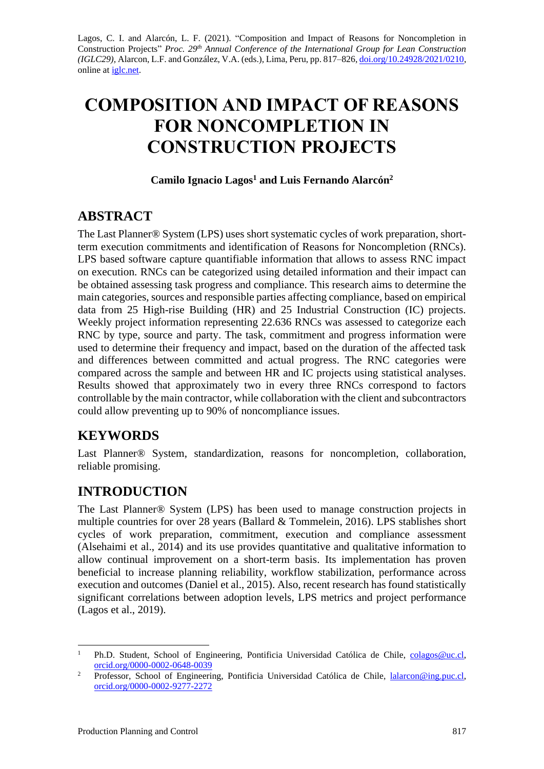Lagos, C. I. and Alarcón, L. F. (2021). "Composition and Impact of Reasons for Noncompletion in Construction Projects" *Proc. 29 th Annual Conference of the International Group for Lean Construction (IGLC29),* Alarcon, L.F. and González, V.A. (eds.)*,* Lima, Peru, pp. 817–826, [doi.org/10.24928/2021/0210,](https://doi.org/10.24928/2021/0210) online at *iglc.net*.

# **COMPOSITION AND IMPACT OF REASONS FOR NONCOMPLETION IN CONSTRUCTION PROJECTS**

#### **Camilo Ignacio Lagos<sup>1</sup> and Luis Fernando Alarcón<sup>2</sup>**

### **ABSTRACT**

The Last Planner® System (LPS) uses short systematic cycles of work preparation, shortterm execution commitments and identification of Reasons for Noncompletion (RNCs). LPS based software capture quantifiable information that allows to assess RNC impact on execution. RNCs can be categorized using detailed information and their impact can be obtained assessing task progress and compliance. This research aims to determine the main categories, sources and responsible parties affecting compliance, based on empirical data from 25 High-rise Building (HR) and 25 Industrial Construction (IC) projects. Weekly project information representing 22.636 RNCs was assessed to categorize each RNC by type, source and party. The task, commitment and progress information were used to determine their frequency and impact, based on the duration of the affected task and differences between committed and actual progress. The RNC categories were compared across the sample and between HR and IC projects using statistical analyses. Results showed that approximately two in every three RNCs correspond to factors controllable by the main contractor, while collaboration with the client and subcontractors could allow preventing up to 90% of noncompliance issues.

### **KEYWORDS**

Last Planner® System, standardization, reasons for noncompletion, collaboration, reliable promising.

# **INTRODUCTION**

The Last Planner® System (LPS) has been used to manage construction projects in multiple countries for over 28 years (Ballard & Tommelein, 2016). LPS stablishes short cycles of work preparation, commitment, execution and compliance assessment (Alsehaimi et al., 2014) and its use provides quantitative and qualitative information to allow continual improvement on a short-term basis. Its implementation has proven beneficial to increase planning reliability, workflow stabilization, performance across execution and outcomes (Daniel et al., 2015). Also, recent research has found statistically significant correlations between adoption levels, LPS metrics and project performance (Lagos et al., 2019).

<sup>&</sup>lt;sup>1</sup> Ph.D. Student, School of Engineering, Pontificia Universidad Católica de Chile, [colagos@uc.cl,](mailto:colagos@uc.cl) [orcid.org/0000-0002-0648-0039](https://orcid.org/0000-0002-0648-0039)

<sup>&</sup>lt;sup>2</sup> Professor, School of Engineering, Pontificia Universidad Católica de Chile, [lalarcon@ing.puc.cl,](mailto:lalarcon@ing.puc.cl) [orcid.org/0000-0002-9277-2272](https://orcid.org/0000-0002-9277-2272)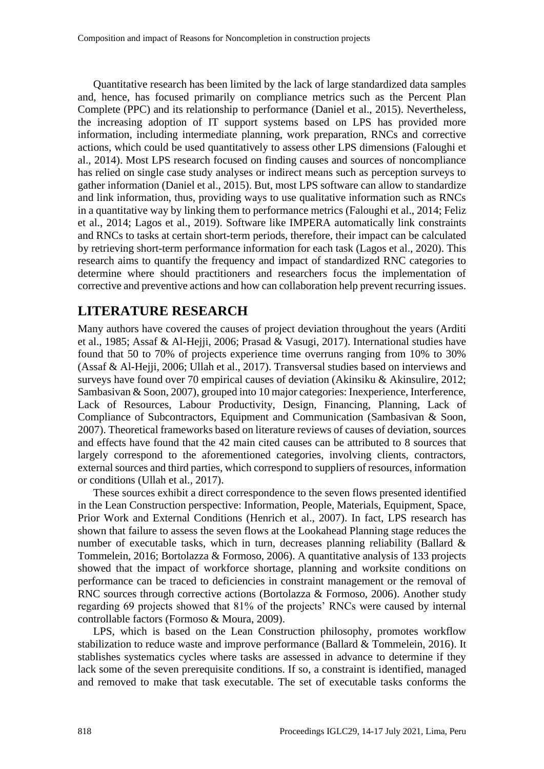Quantitative research has been limited by the lack of large standardized data samples and, hence, has focused primarily on compliance metrics such as the Percent Plan Complete (PPC) and its relationship to performance (Daniel et al., 2015). Nevertheless, the increasing adoption of IT support systems based on LPS has provided more information, including intermediate planning, work preparation, RNCs and corrective actions, which could be used quantitatively to assess other LPS dimensions (Faloughi et al., 2014). Most LPS research focused on finding causes and sources of noncompliance has relied on single case study analyses or indirect means such as perception surveys to gather information (Daniel et al., 2015). But, most LPS software can allow to standardize and link information, thus, providing ways to use qualitative information such as RNCs in a quantitative way by linking them to performance metrics (Faloughi et al., 2014; Feliz et al., 2014; Lagos et al., 2019). Software like IMPERA automatically link constraints and RNCs to tasks at certain short-term periods, therefore, their impact can be calculated by retrieving short-term performance information for each task (Lagos et al., 2020). This research aims to quantify the frequency and impact of standardized RNC categories to determine where should practitioners and researchers focus the implementation of corrective and preventive actions and how can collaboration help prevent recurring issues.

### **LITERATURE RESEARCH**

Many authors have covered the causes of project deviation throughout the years (Arditi et al., 1985; Assaf & Al-Hejji, 2006; Prasad & Vasugi, 2017). International studies have found that 50 to 70% of projects experience time overruns ranging from 10% to 30% (Assaf & Al-Hejji, 2006; Ullah et al., 2017). Transversal studies based on interviews and surveys have found over 70 empirical causes of deviation (Akinsiku & Akinsulire, 2012; Sambasivan & Soon, 2007), grouped into 10 major categories: Inexperience, Interference, Lack of Resources, Labour Productivity, Design, Financing, Planning, Lack of Compliance of Subcontractors, Equipment and Communication (Sambasivan & Soon, 2007). Theoretical frameworks based on literature reviews of causes of deviation, sources and effects have found that the 42 main cited causes can be attributed to 8 sources that largely correspond to the aforementioned categories, involving clients, contractors, external sources and third parties, which correspond to suppliers of resources, information or conditions (Ullah et al., 2017).

These sources exhibit a direct correspondence to the seven flows presented identified in the Lean Construction perspective: Information, People, Materials, Equipment, Space, Prior Work and External Conditions (Henrich et al., 2007). In fact, LPS research has shown that failure to assess the seven flows at the Lookahead Planning stage reduces the number of executable tasks, which in turn, decreases planning reliability (Ballard  $\&$ Tommelein, 2016; Bortolazza & Formoso, 2006). A quantitative analysis of 133 projects showed that the impact of workforce shortage, planning and worksite conditions on performance can be traced to deficiencies in constraint management or the removal of RNC sources through corrective actions (Bortolazza & Formoso, 2006). Another study regarding 69 projects showed that 81% of the projects' RNCs were caused by internal controllable factors (Formoso & Moura, 2009).

LPS, which is based on the Lean Construction philosophy, promotes workflow stabilization to reduce waste and improve performance (Ballard & Tommelein, 2016). It stablishes systematics cycles where tasks are assessed in advance to determine if they lack some of the seven prerequisite conditions. If so, a constraint is identified, managed and removed to make that task executable. The set of executable tasks conforms the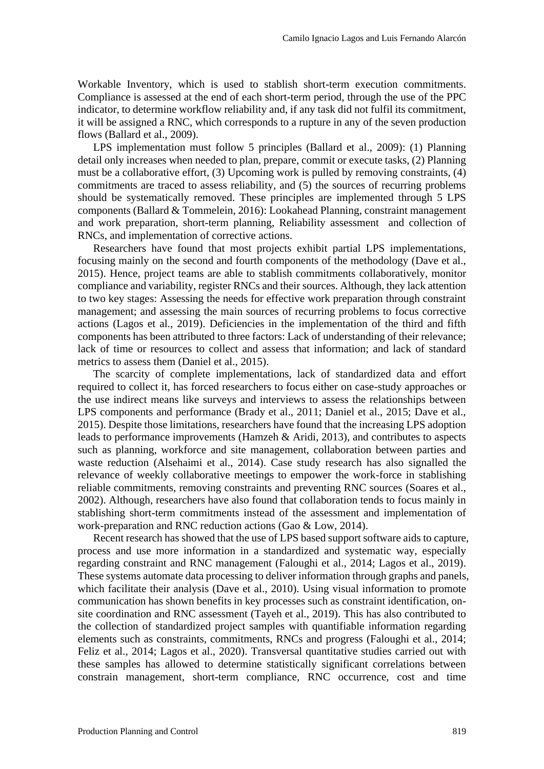Workable Inventory, which is used to stablish short-term execution commitments. Compliance is assessed at the end of each short-term period, through the use of the PPC indicator, to determine workflow reliability and, if any task did not fulfil its commitment, it will be assigned a RNC, which corresponds to a rupture in any of the seven production flows (Ballard et al., 2009).

LPS implementation must follow 5 principles (Ballard et al., 2009): (1) Planning detail only increases when needed to plan, prepare, commit or execute tasks, (2) Planning must be a collaborative effort, (3) Upcoming work is pulled by removing constraints, (4) commitments are traced to assess reliability, and (5) the sources of recurring problems should be systematically removed. These principles are implemented through 5 LPS components (Ballard & Tommelein, 2016): Lookahead Planning, constraint management and work preparation, short-term planning, Reliability assessment and collection of RNCs, and implementation of corrective actions.

Researchers have found that most projects exhibit partial LPS implementations, focusing mainly on the second and fourth components of the methodology (Dave et al., 2015). Hence, project teams are able to stablish commitments collaboratively, monitor compliance and variability, register RNCs and their sources. Although, they lack attention to two key stages: Assessing the needs for effective work preparation through constraint management; and assessing the main sources of recurring problems to focus corrective actions (Lagos et al., 2019). Deficiencies in the implementation of the third and fifth components has been attributed to three factors: Lack of understanding of their relevance; lack of time or resources to collect and assess that information; and lack of standard metrics to assess them (Daniel et al., 2015).

The scarcity of complete implementations, lack of standardized data and effort required to collect it, has forced researchers to focus either on case-study approaches or the use indirect means like surveys and interviews to assess the relationships between LPS components and performance (Brady et al., 2011; Daniel et al., 2015; Dave et al., 2015). Despite those limitations, researchers have found that the increasing LPS adoption leads to performance improvements (Hamzeh & Aridi, 2013), and contributes to aspects such as planning, workforce and site management, collaboration between parties and waste reduction (Alsehaimi et al., 2014). Case study research has also signalled the relevance of weekly collaborative meetings to empower the work-force in stablishing reliable commitments, removing constraints and preventing RNC sources (Soares et al., 2002). Although, researchers have also found that collaboration tends to focus mainly in stablishing short-term commitments instead of the assessment and implementation of work-preparation and RNC reduction actions (Gao & Low, 2014).

Recent research has showed that the use of LPS based support software aids to capture, process and use more information in a standardized and systematic way, especially regarding constraint and RNC management (Faloughi et al., 2014; Lagos et al., 2019). These systems automate data processing to deliver information through graphs and panels, which facilitate their analysis (Dave et al., 2010). Using visual information to promote communication has shown benefits in key processes such as constraint identification, onsite coordination and RNC assessment (Tayeh et al., 2019). This has also contributed to the collection of standardized project samples with quantifiable information regarding elements such as constraints, commitments, RNCs and progress (Faloughi et al., 2014; Feliz et al., 2014; Lagos et al., 2020). Transversal quantitative studies carried out with these samples has allowed to determine statistically significant correlations between constrain management, short-term compliance, RNC occurrence, cost and time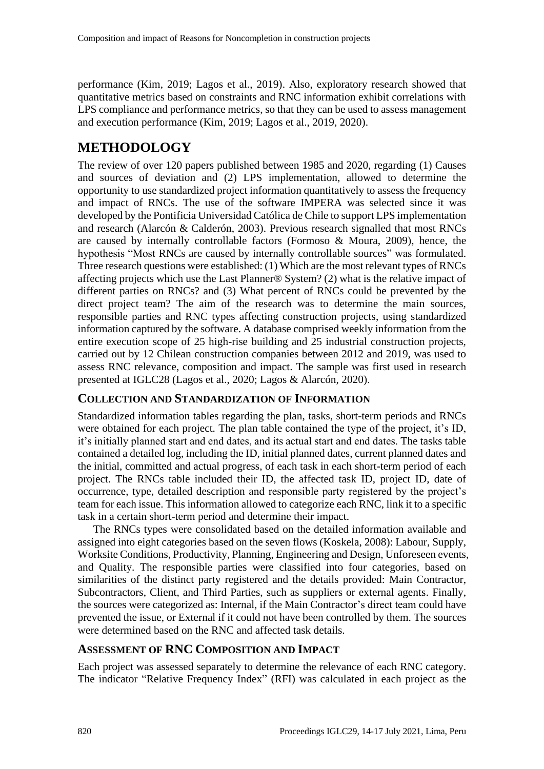performance (Kim, 2019; Lagos et al., 2019). Also, exploratory research showed that quantitative metrics based on constraints and RNC information exhibit correlations with LPS compliance and performance metrics, so that they can be used to assess management and execution performance (Kim, 2019; Lagos et al., 2019, 2020).

## **METHODOLOGY**

The review of over 120 papers published between 1985 and 2020, regarding (1) Causes and sources of deviation and (2) LPS implementation, allowed to determine the opportunity to use standardized project information quantitatively to assess the frequency and impact of RNCs. The use of the software IMPERA was selected since it was developed by the Pontificia Universidad Católica de Chile to support LPS implementation and research (Alarcón & Calderón, 2003). Previous research signalled that most RNCs are caused by internally controllable factors (Formoso & Moura, 2009), hence, the hypothesis "Most RNCs are caused by internally controllable sources" was formulated. Three research questions were established: (1) Which are the most relevant types of RNCs affecting projects which use the Last Planner® System? (2) what is the relative impact of different parties on RNCs? and (3) What percent of RNCs could be prevented by the direct project team? The aim of the research was to determine the main sources, responsible parties and RNC types affecting construction projects, using standardized information captured by the software. A database comprised weekly information from the entire execution scope of 25 high-rise building and 25 industrial construction projects, carried out by 12 Chilean construction companies between 2012 and 2019, was used to assess RNC relevance, composition and impact. The sample was first used in research presented at IGLC28 (Lagos et al., 2020; Lagos & Alarcón, 2020).

#### **COLLECTION AND STANDARDIZATION OF INFORMATION**

Standardized information tables regarding the plan, tasks, short-term periods and RNCs were obtained for each project. The plan table contained the type of the project, it's ID, it's initially planned start and end dates, and its actual start and end dates. The tasks table contained a detailed log, including the ID, initial planned dates, current planned dates and the initial, committed and actual progress, of each task in each short-term period of each project. The RNCs table included their ID, the affected task ID, project ID, date of occurrence, type, detailed description and responsible party registered by the project's team for each issue. This information allowed to categorize each RNC, link it to a specific task in a certain short-term period and determine their impact.

The RNCs types were consolidated based on the detailed information available and assigned into eight categories based on the seven flows (Koskela, 2008): Labour, Supply, Worksite Conditions, Productivity, Planning, Engineering and Design, Unforeseen events, and Quality. The responsible parties were classified into four categories, based on similarities of the distinct party registered and the details provided: Main Contractor, Subcontractors, Client, and Third Parties, such as suppliers or external agents. Finally, the sources were categorized as: Internal, if the Main Contractor's direct team could have prevented the issue, or External if it could not have been controlled by them. The sources were determined based on the RNC and affected task details.

#### **ASSESSMENT OF RNC COMPOSITION AND IMPACT**

Each project was assessed separately to determine the relevance of each RNC category. The indicator "Relative Frequency Index" (RFI) was calculated in each project as the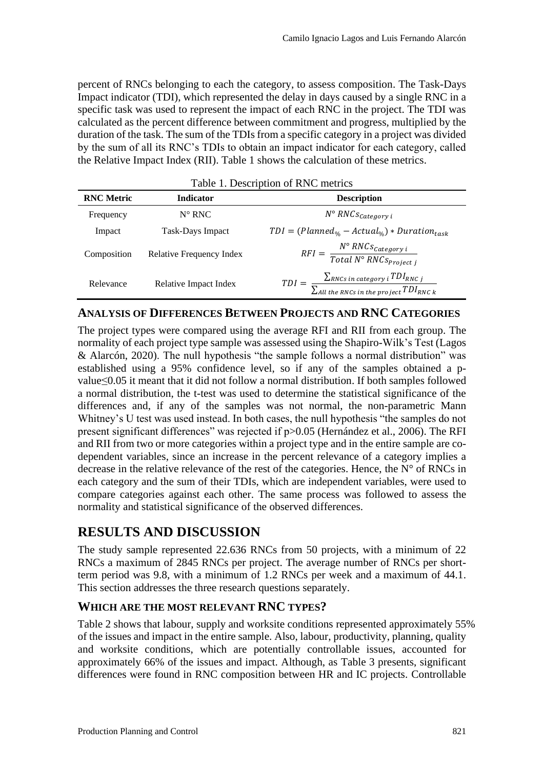percent of RNCs belonging to each the category, to assess composition. The Task-Days Impact indicator (TDI), which represented the delay in days caused by a single RNC in a specific task was used to represent the impact of each RNC in the project. The TDI was calculated as the percent difference between commitment and progress, multiplied by the duration of the task. The sum of the TDIs from a specific category in a project was divided by the sum of all its RNC's TDIs to obtain an impact indicator for each category, called the Relative Impact Index (RII). Table 1 shows the calculation of these metrics.

| Table 1. Description of RNC metrics |                          |                                                                                                                          |  |  |  |  |  |
|-------------------------------------|--------------------------|--------------------------------------------------------------------------------------------------------------------------|--|--|--|--|--|
| <b>RNC</b> Metric                   | <b>Indicator</b>         | <b>Description</b>                                                                                                       |  |  |  |  |  |
| Frequency                           | $N^{\circ} RNC$          | $N^{\circ}$ RNCs <sub>Category</sub> i                                                                                   |  |  |  |  |  |
| Impact                              | Task-Days Impact         | $TDI = (Planned_{\%} - Actual_{\%}) *ّ$ $Duration_{task}$                                                                |  |  |  |  |  |
| Composition                         | Relative Frequency Index | $RFI = \frac{N^{\circ}RNCs_{Category\,i}}{Total\,N^{\circ}\,RNCs_{Project\,i}}$                                          |  |  |  |  |  |
| Relevance                           | Relative Impact Index    | $TDI = \frac{\sum_{RNCs \ in \ category} i \ TDI_{RNC \ j}}{\sum_{All \ the \ RNCs \ in \ the \ project} TDI_{RNC \ k}}$ |  |  |  |  |  |

#### **ANALYSIS OF DIFFERENCES BETWEEN PROJECTS AND RNC CATEGORIES**

The project types were compared using the average RFI and RII from each group. The normality of each project type sample was assessed using the Shapiro-Wilk's Test (Lagos & Alarcón, 2020). The null hypothesis "the sample follows a normal distribution" was established using a 95% confidence level, so if any of the samples obtained a pvalue≤0.05 it meant that it did not follow a normal distribution. If both samples followed a normal distribution, the t-test was used to determine the statistical significance of the differences and, if any of the samples was not normal, the non-parametric Mann Whitney's U test was used instead. In both cases, the null hypothesis "the samples do not present significant differences" was rejected if p>0.05 (Hernández et al., 2006). The RFI and RII from two or more categories within a project type and in the entire sample are codependent variables, since an increase in the percent relevance of a category implies a decrease in the relative relevance of the rest of the categories. Hence, the  $N^{\circ}$  of RNCs in each category and the sum of their TDIs, which are independent variables, were used to compare categories against each other. The same process was followed to assess the normality and statistical significance of the observed differences.

### **RESULTS AND DISCUSSION**

The study sample represented 22.636 RNCs from 50 projects, with a minimum of 22 RNCs a maximum of 2845 RNCs per project. The average number of RNCs per shortterm period was 9.8, with a minimum of 1.2 RNCs per week and a maximum of 44.1. This section addresses the three research questions separately.

#### **WHICH ARE THE MOST RELEVANT RNC TYPES?**

Table 2 shows that labour, supply and worksite conditions represented approximately 55% of the issues and impact in the entire sample. Also, labour, productivity, planning, quality and worksite conditions, which are potentially controllable issues, accounted for approximately 66% of the issues and impact. Although, as Table 3 presents, significant differences were found in RNC composition between HR and IC projects. Controllable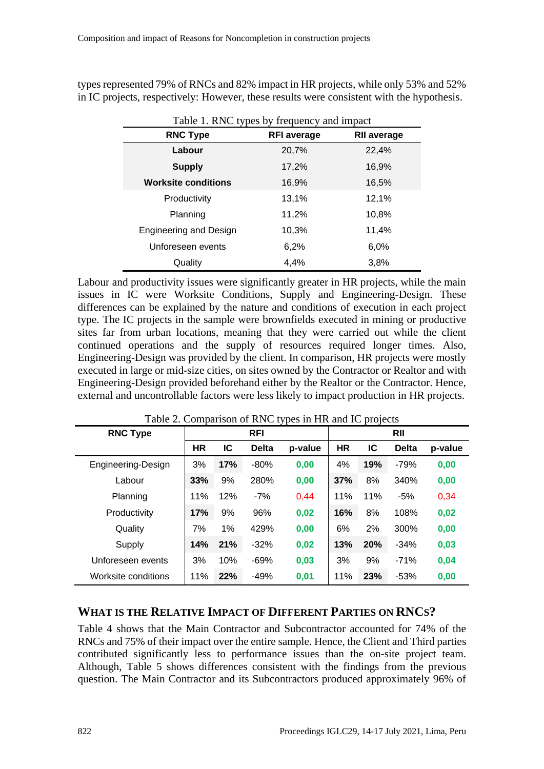types represented 79% of RNCs and 82% impact in HR projects, while only 53% and 52% in IC projects, respectively: However, these results were consistent with the hypothesis.

| Table 1. RNC types by frequency and impact |                    |                    |  |  |  |  |
|--------------------------------------------|--------------------|--------------------|--|--|--|--|
| <b>RNC Type</b>                            | <b>RFI</b> average | <b>RII average</b> |  |  |  |  |
| Labour                                     | 20,7%              | 22,4%              |  |  |  |  |
| <b>Supply</b>                              | 17,2%              | 16,9%              |  |  |  |  |
| <b>Worksite conditions</b>                 | 16,9%              | 16,5%              |  |  |  |  |
| Productivity                               | 13,1%              | 12,1%              |  |  |  |  |
| Planning                                   | 11,2%              | 10,8%              |  |  |  |  |
| <b>Engineering and Design</b>              | 10,3%              | 11,4%              |  |  |  |  |
| Unforeseen events                          | 6,2%               | 6,0%               |  |  |  |  |
| Quality                                    | 4.4%               | 3,8%               |  |  |  |  |

Labour and productivity issues were significantly greater in HR projects, while the main issues in IC were Worksite Conditions, Supply and Engineering-Design. These differences can be explained by the nature and conditions of execution in each project type. The IC projects in the sample were brownfields executed in mining or productive sites far from urban locations, meaning that they were carried out while the client continued operations and the supply of resources required longer times. Also, Engineering-Design was provided by the client. In comparison, HR projects were mostly executed in large or mid-size cities, on sites owned by the Contractor or Realtor and with Engineering-Design provided beforehand either by the Realtor or the Contractor. Hence, external and uncontrollable factors were less likely to impact production in HR projects.

| <b>RNC Type</b>     | <b>RFI</b> |     |              |         | <b>RII</b> |     |              |         |
|---------------------|------------|-----|--------------|---------|------------|-----|--------------|---------|
|                     | <b>HR</b>  | IC  | <b>Delta</b> | p-value | <b>HR</b>  | ΙC  | <b>Delta</b> | p-value |
| Engineering-Design  | 3%         | 17% | $-80%$       | 0,00    | 4%         | 19% | $-79%$       | 0,00    |
| Labour              | 33%        | 9%  | 280%         | 0,00    | 37%        | 8%  | 340%         | 0,00    |
| Planning            | 11%        | 12% | $-7%$        | 0,44    | 11%        | 11% | $-5%$        | 0,34    |
| Productivity        | 17%        | 9%  | 96%          | 0,02    | 16%        | 8%  | 108%         | 0,02    |
| Quality             | 7%         | 1%  | 429%         | 0,00    | 6%         | 2%  | 300%         | 0,00    |
| Supply              | 14%        | 21% | $-32%$       | 0,02    | 13%        | 20% | $-34%$       | 0,03    |
| Unforeseen events   | 3%         | 10% | $-69%$       | 0,03    | 3%         | 9%  | $-71%$       | 0,04    |
| Worksite conditions | 11%        | 22% | $-49%$       | 0,01    | 11%        | 23% | $-53%$       | 0,00    |

Table 2. Comparison of RNC types in HR and IC projects

### **WHAT IS THE RELATIVE IMPACT OF DIFFERENT PARTIES ON RNCS?**

Table 4 shows that the Main Contractor and Subcontractor accounted for 74% of the RNCs and 75% of their impact over the entire sample. Hence, the Client and Third parties contributed significantly less to performance issues than the on-site project team. Although, Table 5 shows differences consistent with the findings from the previous question. The Main Contractor and its Subcontractors produced approximately 96% of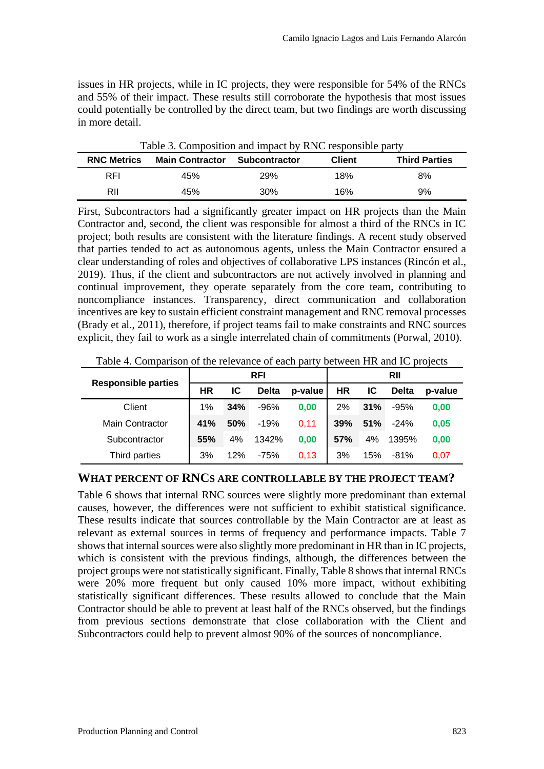issues in HR projects, while in IC projects, they were responsible for 54% of the RNCs and 55% of their impact. These results still corroborate the hypothesis that most issues could potentially be controlled by the direct team, but two findings are worth discussing in more detail.

| <b>RNC Metrics</b> | <b>Main Contractor</b> | <b>Subcontractor</b> | <b>Client</b> | <b>Third Parties</b> |
|--------------------|------------------------|----------------------|---------------|----------------------|
| <b>RFI</b>         | 45%                    | 29%                  | 18%           | 8%                   |
| RII                | 45%                    | 30%                  | 16%           | 9%                   |

Table 3. Composition and impact by RNC responsible party

First, Subcontractors had a significantly greater impact on HR projects than the Main Contractor and, second, the client was responsible for almost a third of the RNCs in IC project; both results are consistent with the literature findings. A recent study observed that parties tended to act as autonomous agents, unless the Main Contractor ensured a clear understanding of roles and objectives of collaborative LPS instances (Rincón et al., 2019). Thus, if the client and subcontractors are not actively involved in planning and continual improvement, they operate separately from the core team, contributing to noncompliance instances. Transparency, direct communication and collaboration incentives are key to sustain efficient constraint management and RNC removal processes (Brady et al., 2011), therefore, if project teams fail to make constraints and RNC sources explicit, they fail to work as a single interrelated chain of commitments (Porwal, 2010).

**Responsible parties RFI RII HR IC Delta p-value HR IC Delta p-value** Client 1% **34%** -96% **0,00** 2% **31%** -95% **0,00** Main Contractor **41% 50%** -19% 0,11 **39% 51%** -24% **0,05** Subcontractor **55%** 4% 1342% **0,00 57%** 4% 1395% **0,00** Third parties 3% 12% -75% 0,13 3% 15% -81% 0,07

Table 4. Comparison of the relevance of each party between HR and IC projects

#### **WHAT PERCENT OF RNCS ARE CONTROLLABLE BY THE PROJECT TEAM?**

Table 6 shows that internal RNC sources were slightly more predominant than external causes, however, the differences were not sufficient to exhibit statistical significance. These results indicate that sources controllable by the Main Contractor are at least as relevant as external sources in terms of frequency and performance impacts. Table 7 shows that internal sources were also slightly more predominant in HR than in IC projects, which is consistent with the previous findings, although, the differences between the project groups were not statistically significant. Finally, Table 8 shows that internal RNCs were 20% more frequent but only caused 10% more impact, without exhibiting statistically significant differences. These results allowed to conclude that the Main Contractor should be able to prevent at least half of the RNCs observed, but the findings from previous sections demonstrate that close collaboration with the Client and Subcontractors could help to prevent almost 90% of the sources of noncompliance.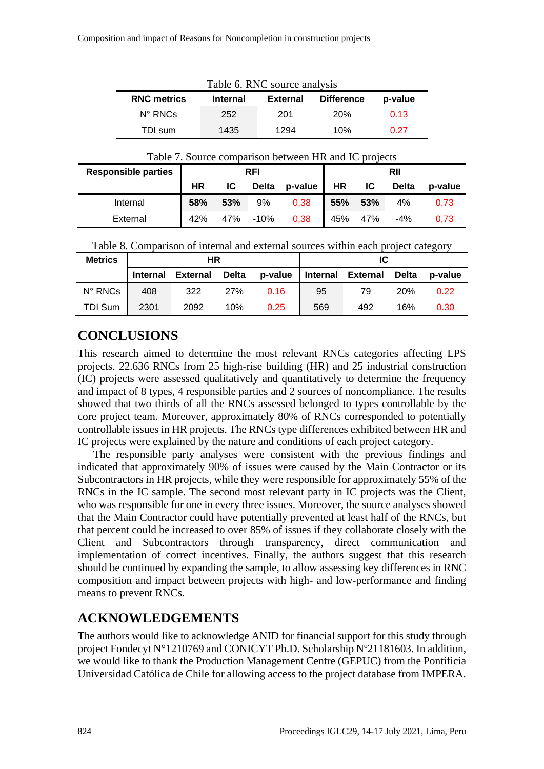| Table 6. RNC source analysis |                 |                 |                   |         |  |  |  |  |
|------------------------------|-----------------|-----------------|-------------------|---------|--|--|--|--|
| <b>RNC metrics</b>           | <b>Internal</b> | <b>External</b> | <b>Difference</b> | p-value |  |  |  |  |
| $N^{\circ}$ RNCs             | 252             | 201             | 20%               | 0.13    |  |  |  |  |
| TDI sum                      | 1435            | 1294            | 10%               | 0.27    |  |  |  |  |

| Table 7. Source comparison between HR and IC projects |  |  |
|-------------------------------------------------------|--|--|
|                                                       |  |  |

| <b>Responsible parties</b> | <b>RFI</b> |     |              | RII     |     |     |              |         |
|----------------------------|------------|-----|--------------|---------|-----|-----|--------------|---------|
|                            | HR         | IC. | <b>Delta</b> | p-value | HR  | IC. | <b>Delta</b> | p-value |
| Internal                   | 58%        | 53% | 9%           | 0,38    | 55% | 53% | 4%           | 0.73    |
| External                   | 42%        | 47% | -10%         | 0,38    | 45% | 47% | $-4%$        | 0.73    |

Table 8. Comparison of internal and external sources within each project category

| <b>Metrics</b> | ΗR              |                 |       |         | ΙC  |                   |              |         |
|----------------|-----------------|-----------------|-------|---------|-----|-------------------|--------------|---------|
|                | <b>Internal</b> | <b>External</b> | Delta | p-value |     | Internal External | <b>Delta</b> | p-value |
| N° RNCs        | 408             | 322             | 27%   | 0.16    | 95  | 79                | <b>20%</b>   | 0.22    |
| <b>TDI Sum</b> | 2301            | 2092            | 10%   | 0.25    | 569 | 492               | 16%          | 0.30    |

# **CONCLUSIONS**

This research aimed to determine the most relevant RNCs categories affecting LPS projects. 22.636 RNCs from 25 high-rise building (HR) and 25 industrial construction (IC) projects were assessed qualitatively and quantitatively to determine the frequency and impact of 8 types, 4 responsible parties and 2 sources of noncompliance. The results showed that two thirds of all the RNCs assessed belonged to types controllable by the core project team. Moreover, approximately 80% of RNCs corresponded to potentially controllable issues in HR projects. The RNCs type differences exhibited between HR and IC projects were explained by the nature and conditions of each project category.

The responsible party analyses were consistent with the previous findings and indicated that approximately 90% of issues were caused by the Main Contractor or its Subcontractors in HR projects, while they were responsible for approximately 55% of the RNCs in the IC sample. The second most relevant party in IC projects was the Client, who was responsible for one in every three issues. Moreover, the source analyses showed that the Main Contractor could have potentially prevented at least half of the RNCs, but that percent could be increased to over 85% of issues if they collaborate closely with the Client and Subcontractors through transparency, direct communication and implementation of correct incentives. Finally, the authors suggest that this research should be continued by expanding the sample, to allow assessing key differences in RNC composition and impact between projects with high- and low-performance and finding means to prevent RNCs.

# **ACKNOWLEDGEMENTS**

The authors would like to acknowledge ANID for financial support for this study through project Fondecyt N°1210769 and CONICYT Ph.D. Scholarship Nº21181603. In addition, we would like to thank the Production Management Centre (GEPUC) from the Pontificia Universidad Católica de Chile for allowing access to the project database from IMPERA.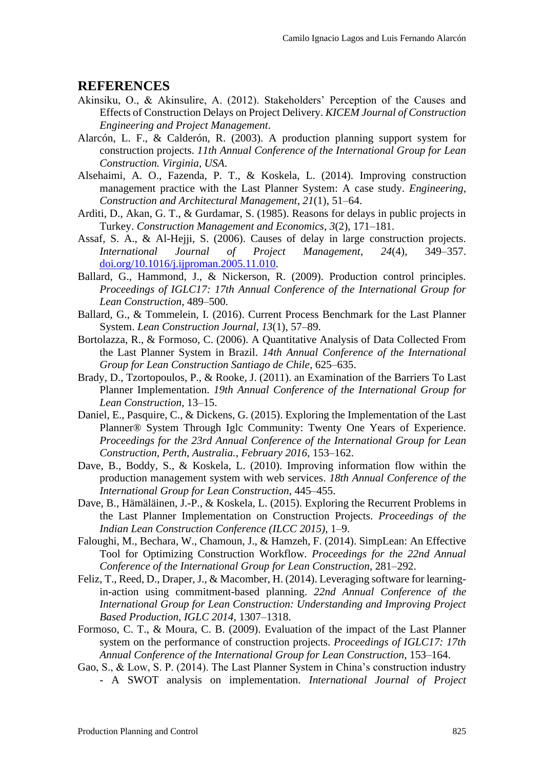#### **REFERENCES**

- Akinsiku, O., & Akinsulire, A. (2012). Stakeholders' Perception of the Causes and Effects of Construction Delays on Project Delivery. *KICEM Journal of Construction Engineering and Project Management*.
- Alarcón, L. F., & Calderón, R. (2003). A production planning support system for construction projects. *11th Annual Conference of the International Group for Lean Construction. Virginia, USA*.
- Alsehaimi, A. O., Fazenda, P. T., & Koskela, L. (2014). Improving construction management practice with the Last Planner System: A case study. *Engineering, Construction and Architectural Management*, *21*(1), 51–64.
- Arditi, D., Akan, G. T., & Gurdamar, S. (1985). Reasons for delays in public projects in Turkey. *Construction Management and Economics*, *3*(2), 171–181.
- Assaf, S. A., & Al-Hejji, S. (2006). Causes of delay in large construction projects. *International Journal of Project Management*, *24*(4), 349–357. [doi.org/10.1016/j.ijproman.2005.11.010.](https://doi.org/10.1016/j.ijproman.2005.11.010)
- Ballard, G., Hammond, J., & Nickerson, R. (2009). Production control principles. *Proceedings of IGLC17: 17th Annual Conference of the International Group for Lean Construction*, 489–500.
- Ballard, G., & Tommelein, I. (2016). Current Process Benchmark for the Last Planner System. *Lean Construction Journal*, *13*(1), 57–89.
- Bortolazza, R., & Formoso, C. (2006). A Quantitative Analysis of Data Collected From the Last Planner System in Brazil. *14th Annual Conference of the International Group for Lean Construction Santiago de Chile*, 625–635.
- Brady, D., Tzortopoulos, P., & Rooke, J. (2011). an Examination of the Barriers To Last Planner Implementation. *19th Annual Conference of the International Group for Lean Construction*, 13–15.
- Daniel, E., Pasquire, C., & Dickens, G. (2015). Exploring the Implementation of the Last Planner® System Through Iglc Community: Twenty One Years of Experience. *Proceedings for the 23rd Annual Conference of the International Group for Lean Construction, Perth, Australia.*, *February 2016*, 153–162.
- Dave, B., Boddy, S., & Koskela, L. (2010). Improving information flow within the production management system with web services. *18th Annual Conference of the International Group for Lean Construction*, 445–455.
- Dave, B., Hämäläinen, J.-P., & Koskela, L. (2015). Exploring the Recurrent Problems in the Last Planner Implementation on Construction Projects. *Proceedings of the Indian Lean Construction Conference (ILCC 2015)*, 1–9.
- Faloughi, M., Bechara, W., Chamoun, J., & Hamzeh, F. (2014). SimpLean: An Effective Tool for Optimizing Construction Workflow. *Proceedings for the 22nd Annual Conference of the International Group for Lean Construction*, 281–292.
- Feliz, T., Reed, D., Draper, J., & Macomber, H. (2014). Leveraging software for learningin-action using commitment-based planning. *22nd Annual Conference of the International Group for Lean Construction: Understanding and Improving Project Based Production, IGLC 2014*, 1307–1318.
- Formoso, C. T., & Moura, C. B. (2009). Evaluation of the impact of the Last Planner system on the performance of construction projects. *Proceedings of IGLC17: 17th Annual Conference of the International Group for Lean Construction*, 153–164.
- Gao, S., & Low, S. P. (2014). The Last Planner System in China's construction industry - A SWOT analysis on implementation. *International Journal of Project*